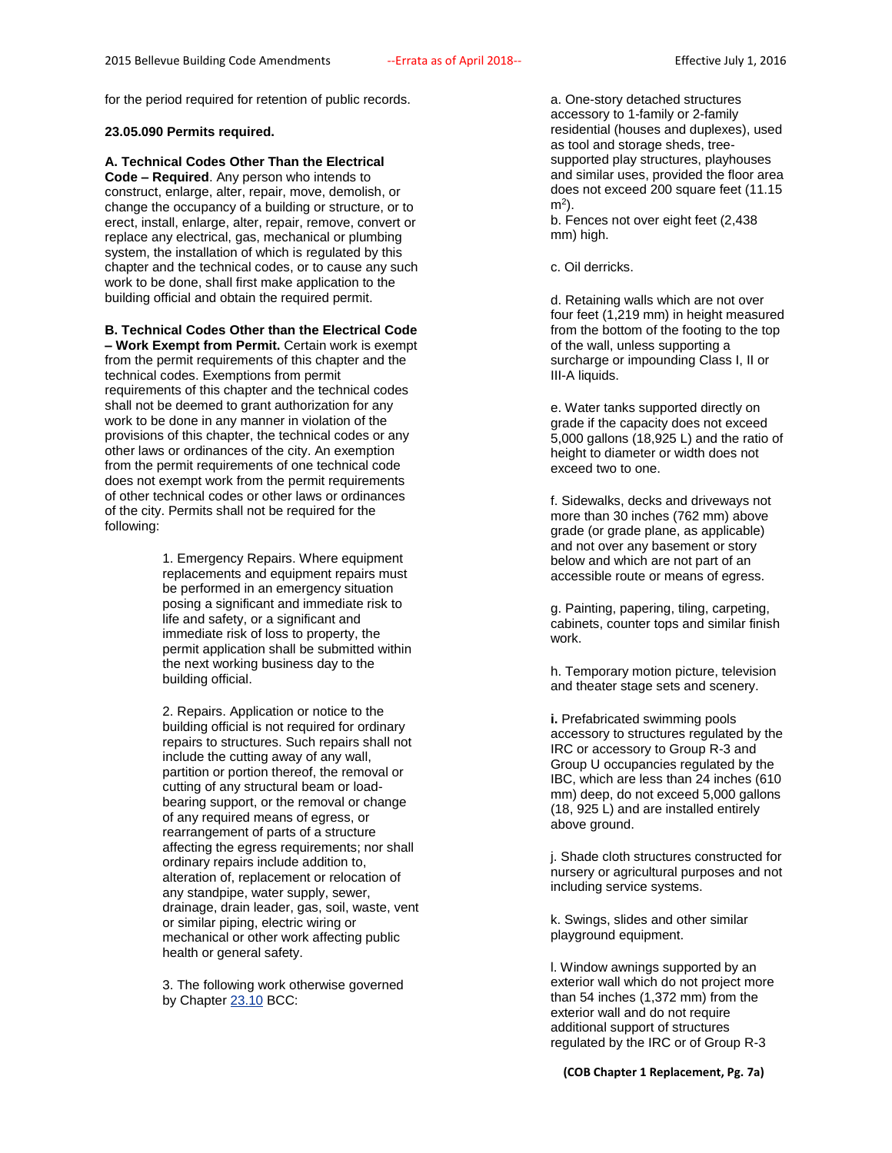for the period required for retention of public records.

#### **23.05.090 Permits required.**

# **A. Technical Codes Other Than the Electrical**

**Code – Required**. Any person who intends to construct, enlarge, alter, repair, move, demolish, or change the occupancy of a building or structure, or to erect, install, enlarge, alter, repair, remove, convert or replace any electrical, gas, mechanical or plumbing system, the installation of which is regulated by this chapter and the technical codes, or to cause any such work to be done, shall first make application to the building official and obtain the required permit.

## **B. Technical Codes Other than the Electrical Code**

**– Work Exempt from Permit.** Certain work is exempt from the permit requirements of this chapter and the technical codes. Exemptions from permit requirements of this chapter and the technical codes shall not be deemed to grant authorization for any work to be done in any manner in violation of the provisions of this chapter, the technical codes or any other laws or ordinances of the city. An exemption from the permit requirements of one technical code does not exempt work from the permit requirements of other technical codes or other laws or ordinances of the city. Permits shall not be required for the following:

> 1. Emergency Repairs. Where equipment replacements and equipment repairs must be performed in an emergency situation posing a significant and immediate risk to life and safety, or a significant and immediate risk of loss to property, the permit application shall be submitted within the next working business day to the building official.

2. Repairs. Application or notice to the building official is not required for ordinary repairs to structures. Such repairs shall not include the cutting away of any wall, partition or portion thereof, the removal or cutting of any structural beam or loadbearing support, or the removal or change of any required means of egress, or rearrangement of parts of a structure affecting the egress requirements; nor shall ordinary repairs include addition to, alteration of, replacement or relocation of any standpipe, water supply, sewer, drainage, drain leader, gas, soil, waste, vent or similar piping, electric wiring or mechanical or other work affecting public health or general safety.

3. The following work otherwise governed by Chapter [23.10](http://www.codepublishing.com/wa/bellevue/html/Bellevue23/Bellevue2310.html#23.10) BCC:

a. One-story detached structures accessory to 1-family or 2-family residential (houses and duplexes), used as tool and storage sheds, treesupported play structures, playhouses and similar uses, provided the floor area does not exceed 200 square feet (11.15 m<sup>2</sup> ).

b. Fences not over eight feet (2,438 mm) high.

c. Oil derricks.

d. Retaining walls which are not over four feet (1,219 mm) in height measured from the bottom of the footing to the top of the wall, unless supporting a surcharge or impounding Class I, II or III-A liquids.

e. Water tanks supported directly on grade if the capacity does not exceed 5,000 gallons (18,925 L) and the ratio of height to diameter or width does not exceed two to one.

f. Sidewalks, decks and driveways not more than 30 inches (762 mm) above grade (or grade plane, as applicable) and not over any basement or story below and which are not part of an accessible route or means of egress.

g. Painting, papering, tiling, carpeting, cabinets, counter tops and similar finish work.

h. Temporary motion picture, television and theater stage sets and scenery.

**i.** Prefabricated swimming pools accessory to structures regulated by the IRC or accessory to Group R-3 and Group U occupancies regulated by the IBC, which are less than 24 inches (610 mm) deep, do not exceed 5,000 gallons (18, 925 L) and are installed entirely above ground.

j. Shade cloth structures constructed for nursery or agricultural purposes and not including service systems.

k. Swings, slides and other similar playground equipment.

l. Window awnings supported by an exterior wall which do not project more than 54 inches (1,372 mm) from the exterior wall and do not require additional support of structures regulated by the IRC or of Group R-3

**(COB Chapter 1 Replacement, Pg. 7a)**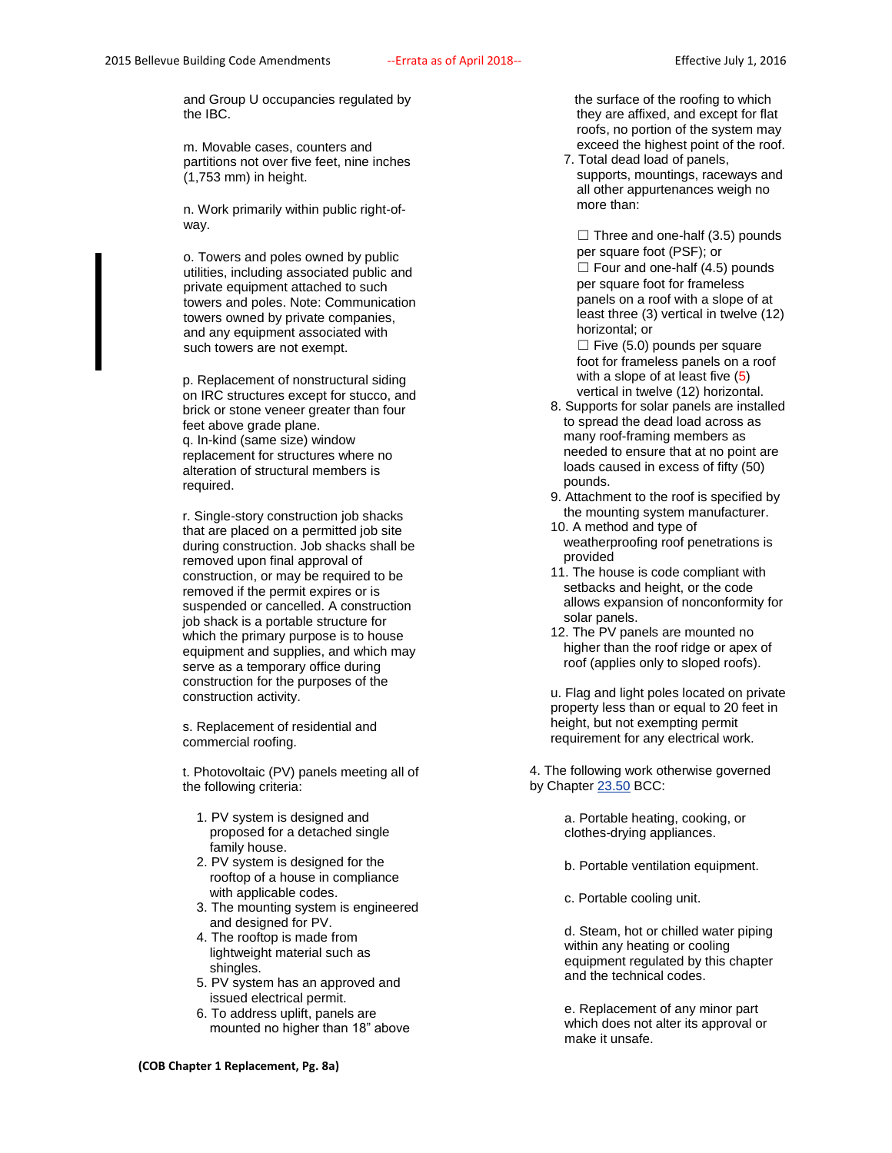and Group U occupancies regulated by the IBC.

m. Movable cases, counters and partitions not over five feet, nine inches (1,753 mm) in height.

n. Work primarily within public right-ofway.

o. Towers and poles owned by public utilities, including associated public and private equipment attached to such towers and poles. Note: Communication towers owned by private companies, and any equipment associated with such towers are not exempt.

p. Replacement of nonstructural siding on IRC structures except for stucco, and brick or stone veneer greater than four feet above grade plane. q. In-kind (same size) window replacement for structures where no alteration of structural members is required.

r. Single-story construction job shacks that are placed on a permitted job site during construction. Job shacks shall be removed upon final approval of construction, or may be required to be removed if the permit expires or is suspended or cancelled. A construction job shack is a portable structure for which the primary purpose is to house equipment and supplies, and which may serve as a temporary office during construction for the purposes of the construction activity.

s. Replacement of residential and commercial roofing.

t. Photovoltaic (PV) panels meeting all of the following criteria:

- 1. PV system is designed and proposed for a detached single family house.
- 2. PV system is designed for the rooftop of a house in compliance with applicable codes.
- 3. The mounting system is engineered and designed for PV.
- 4. The rooftop is made from lightweight material such as shingles.
- 5. PV system has an approved and issued electrical permit.
- 6. To address uplift, panels are mounted no higher than 18" above

 the surface of the roofing to which they are affixed, and except for flat roofs, no portion of the system may exceed the highest point of the roof.

7. Total dead load of panels, supports, mountings, raceways and all other appurtenances weigh no more than:

 $\Box$  Three and one-half (3.5) pounds per square foot (PSF); or  $\Box$  Four and one-half (4.5) pounds per square foot for frameless panels on a roof with a slope of at least three (3) vertical in twelve (12) horizontal; or

 $\Box$  Five (5.0) pounds per square foot for frameless panels on a roof with a slope of at least five (5) vertical in twelve (12) horizontal.

- 8. Supports for solar panels are installed to spread the dead load across as many roof-framing members as needed to ensure that at no point are loads caused in excess of fifty (50) pounds.
- 9. Attachment to the roof is specified by the mounting system manufacturer.
- 10. A method and type of weatherproofing roof penetrations is provided
- 11. The house is code compliant with setbacks and height, or the code allows expansion of nonconformity for solar panels.
- 12. The PV panels are mounted no higher than the roof ridge or apex of roof (applies only to sloped roofs).

u. Flag and light poles located on private property less than or equal to 20 feet in height, but not exempting permit requirement for any electrical work.

4. The following work otherwise governed by Chapter [23.50](http://www.codepublishing.com/wa/bellevue/html/Bellevue23/Bellevue2350.html#23.50) BCC:

> a. Portable heating, cooking, or clothes-drying appliances.

b. Portable ventilation equipment.

c. Portable cooling unit.

d. Steam, hot or chilled water piping within any heating or cooling equipment regulated by this chapter and the technical codes.

e. Replacement of any minor part which does not alter its approval or make it unsafe.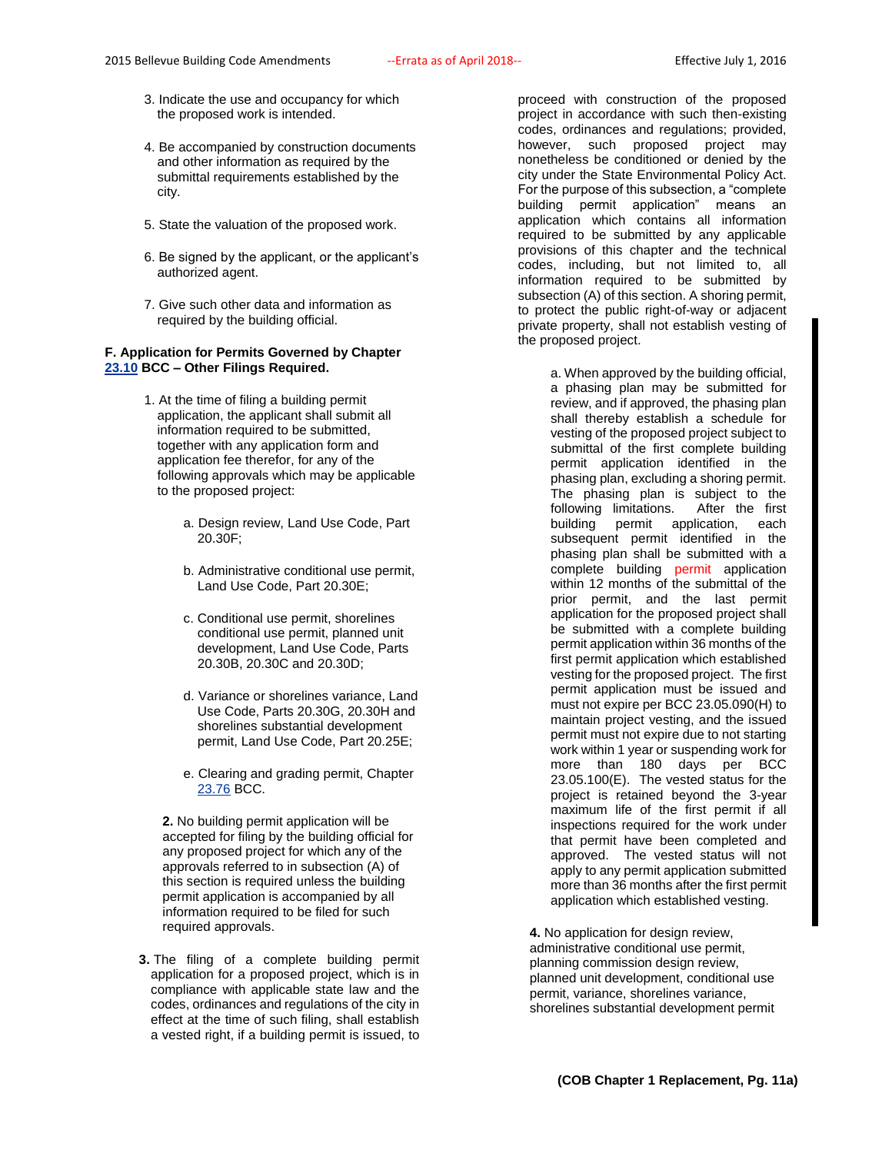- 3. Indicate the use and occupancy for which the proposed work is intended.
- 4. Be accompanied by construction documents and other information as required by the submittal requirements established by the city.
- 5. State the valuation of the proposed work.
- 6. Be signed by the applicant, or the applicant's authorized agent.
- 7. Give such other data and information as required by the building official.

## **F. Application for Permits Governed by Chapter [23.10](http://www.codepublishing.com/wa/bellevue/html/Bellevue23/Bellevue2310.html#23.10) BCC – Other Filings Required.**

- 1. At the time of filing a building permit application, the applicant shall submit all information required to be submitted, together with any application form and application fee therefor, for any of the following approvals which may be applicable to the proposed project:
	- a. Design review, Land Use Code, Part 20.30F;
	- b. Administrative conditional use permit, Land Use Code, Part 20.30E;
	- c. Conditional use permit, shorelines conditional use permit, planned unit development, Land Use Code, Parts 20.30B, 20.30C and 20.30D;
	- d. Variance or shorelines variance, Land Use Code, Parts 20.30G, 20.30H and shorelines substantial development permit, Land Use Code, Part 20.25E;
	- e. Clearing and grading permit, Chapter [23.76](http://www.codepublishing.com/wa/bellevue/html/Bellevue23/Bellevue2376.html#23.76) BCC.

**2.** No building permit application will be accepted for filing by the building official for any proposed project for which any of the approvals referred to in subsection (A) of this section is required unless the building permit application is accompanied by all information required to be filed for such required approvals.

**3.** The filing of a complete building permit application for a proposed project, which is in compliance with applicable state law and the codes, ordinances and regulations of the city in effect at the time of such filing, shall establish a vested right, if a building permit is issued, to

proceed with construction of the proposed project in accordance with such then-existing codes, ordinances and regulations; provided, however, such proposed project may nonetheless be conditioned or denied by the city under the State Environmental Policy Act. For the purpose of this subsection, a "complete building permit application" means an application which contains all information required to be submitted by any applicable provisions of this chapter and the technical codes, including, but not limited to, all information required to be submitted by subsection (A) of this section. A shoring permit, to protect the public right-of-way or adjacent private property, shall not establish vesting of the proposed project.

> a. When approved by the building official, a phasing plan may be submitted for review, and if approved, the phasing plan shall thereby establish a schedule for vesting of the proposed project subject to submittal of the first complete building permit application identified in the phasing plan, excluding a shoring permit. The phasing plan is subject to the following limitations. After the first building permit application, each subsequent permit identified in the phasing plan shall be submitted with a complete building permit application within 12 months of the submittal of the prior permit, and the last permit application for the proposed project shall be submitted with a complete building permit application within 36 months of the first permit application which established vesting for the proposed project. The first permit application must be issued and must not expire per BCC 23.05.090(H) to maintain project vesting, and the issued permit must not expire due to not starting work within 1 year or suspending work for more than 180 days per BCC 23.05.100(E). The vested status for the project is retained beyond the 3-year maximum life of the first permit if all inspections required for the work under that permit have been completed and approved. The vested status will not apply to any permit application submitted more than 36 months after the first permit application which established vesting.

**4.** No application for design review, administrative conditional use permit, planning commission design review, planned unit development, conditional use permit, variance, shorelines variance, shorelines substantial development permit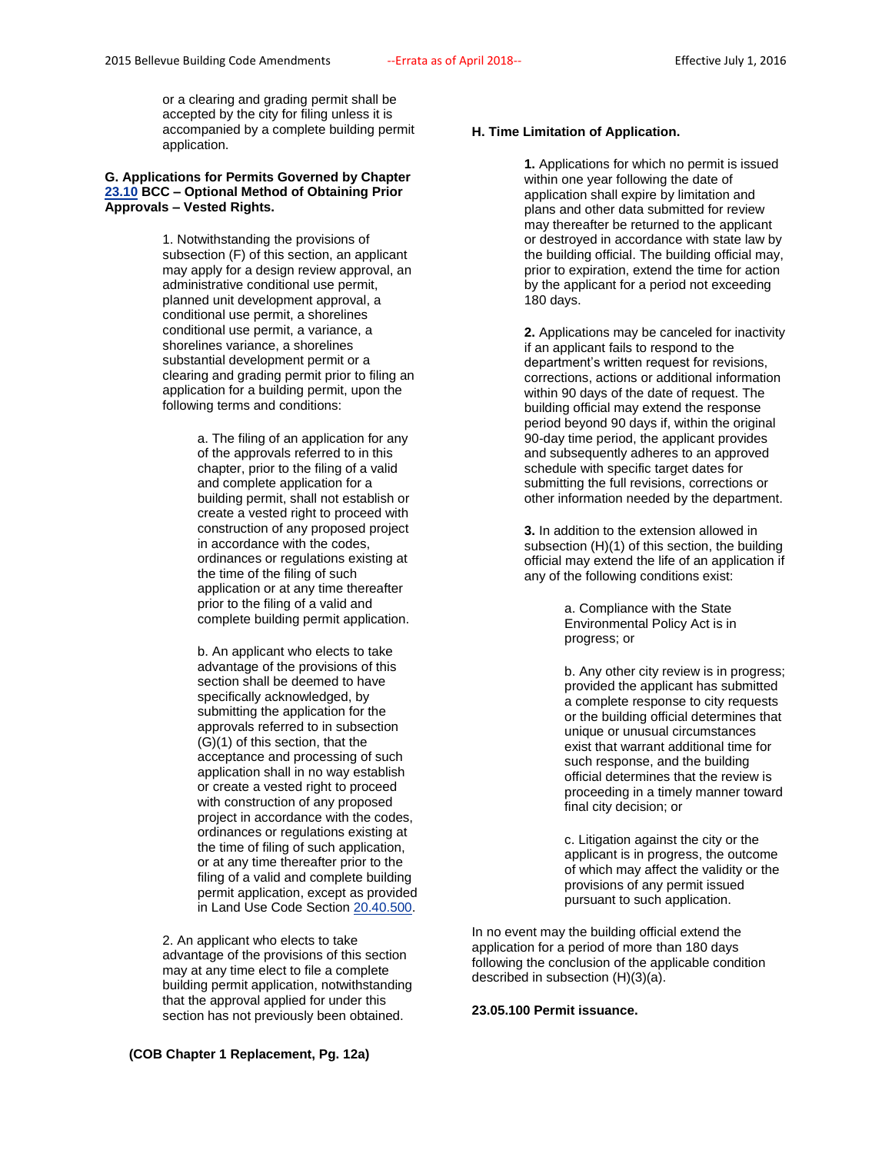or a clearing and grading permit shall be accepted by the city for filing unless it is accompanied by a complete building permit application.

## **G. Applications for Permits Governed by Chapter [23.10](http://www.codepublishing.com/wa/bellevue/html/Bellevue23/Bellevue2310.html#23.10) BCC – Optional Method of Obtaining Prior Approvals – Vested Rights.**

1. Notwithstanding the provisions of subsection (F) of this section, an applicant may apply for a design review approval, an administrative conditional use permit, planned unit development approval, a conditional use permit, a shorelines conditional use permit, a variance, a shorelines variance, a shorelines substantial development permit or a clearing and grading permit prior to filing an application for a building permit, upon the following terms and conditions:

> a. The filing of an application for any of the approvals referred to in this chapter, prior to the filing of a valid and complete application for a building permit, shall not establish or create a vested right to proceed with construction of any proposed project in accordance with the codes, ordinances or regulations existing at the time of the filing of such application or at any time thereafter prior to the filing of a valid and complete building permit application.

b. An applicant who elects to take advantage of the provisions of this section shall be deemed to have specifically acknowledged, by submitting the application for the approvals referred to in subsection (G)(1) of this section, that the acceptance and processing of such application shall in no way establish or create a vested right to proceed with construction of any proposed project in accordance with the codes, ordinances or regulations existing at the time of filing of such application, or at any time thereafter prior to the filing of a valid and complete building permit application, except as provided in Land Use Code Sectio[n 20.40.500.](http://www.codepublishing.com/wa/bellevue/LUC/BellevueLUC2040.html#20.40.500)

2. An applicant who elects to take advantage of the provisions of this section may at any time elect to file a complete building permit application, notwithstanding that the approval applied for under this section has not previously been obtained.

**1.** Applications for which no permit is issued within one year following the date of application shall expire by limitation and plans and other data submitted for review may thereafter be returned to the applicant or destroyed in accordance with state law by the building official. The building official may, prior to expiration, extend the time for action by the applicant for a period not exceeding 180 days.

**2.** Applications may be canceled for inactivity if an applicant fails to respond to the department's written request for revisions, corrections, actions or additional information within 90 days of the date of request. The building official may extend the response period beyond 90 days if, within the original 90-day time period, the applicant provides and subsequently adheres to an approved schedule with specific target dates for submitting the full revisions, corrections or other information needed by the department.

**3.** In addition to the extension allowed in subsection (H)(1) of this section, the building official may extend the life of an application if any of the following conditions exist:

> a. Compliance with the State Environmental Policy Act is in progress; or

b. Any other city review is in progress; provided the applicant has submitted a complete response to city requests or the building official determines that unique or unusual circumstances exist that warrant additional time for such response, and the building official determines that the review is proceeding in a timely manner toward final city decision; or

c. Litigation against the city or the applicant is in progress, the outcome of which may affect the validity or the provisions of any permit issued pursuant to such application.

In no event may the building official extend the application for a period of more than 180 days following the conclusion of the applicable condition described in subsection (H)(3)(a).

## **23.05.100 Permit issuance.**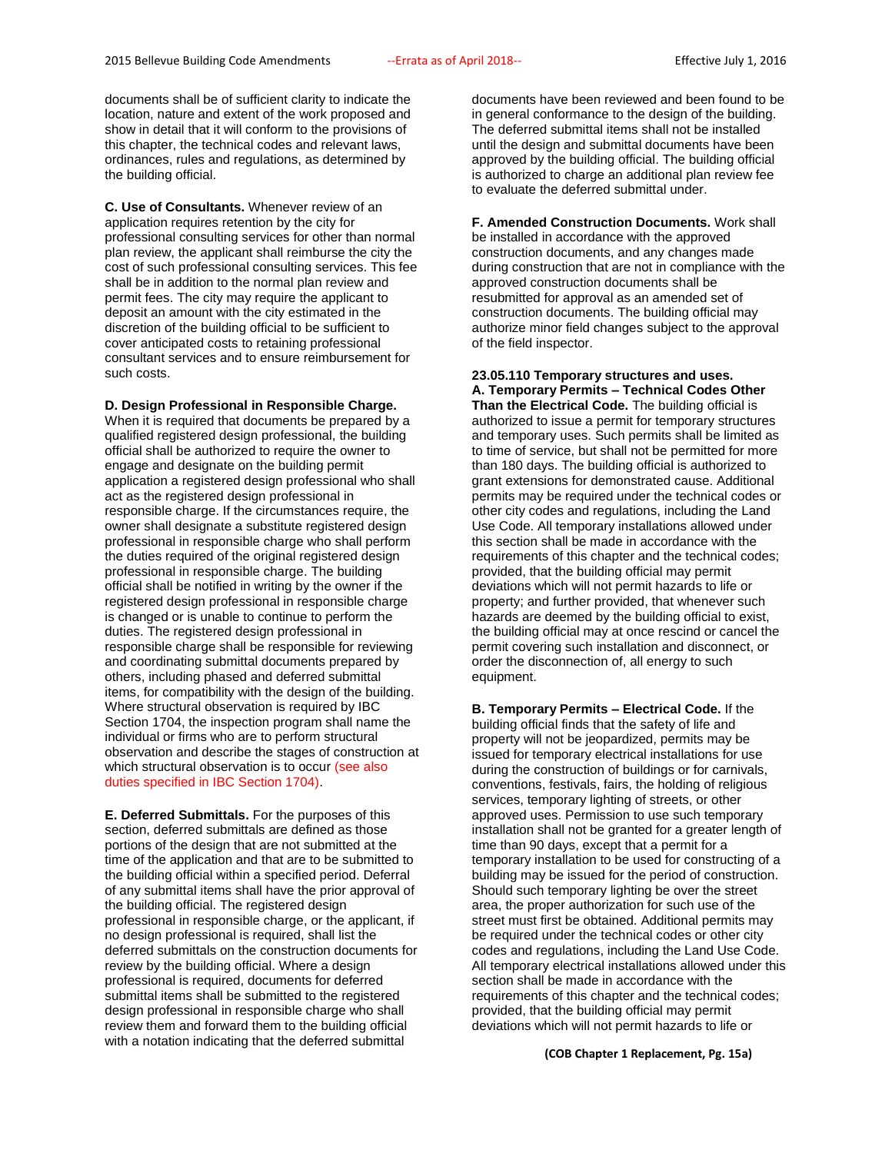documents shall be of sufficient clarity to indicate the location, nature and extent of the work proposed and show in detail that it will conform to the provisions of this chapter, the technical codes and relevant laws, ordinances, rules and regulations, as determined by the building official.

**C. Use of Consultants.** Whenever review of an application requires retention by the city for professional consulting services for other than normal plan review, the applicant shall reimburse the city the cost of such professional consulting services. This fee shall be in addition to the normal plan review and permit fees. The city may require the applicant to deposit an amount with the city estimated in the discretion of the building official to be sufficient to cover anticipated costs to retaining professional consultant services and to ensure reimbursement for such costs.

#### **D. Design Professional in Responsible Charge.**

When it is required that documents be prepared by a qualified registered design professional, the building official shall be authorized to require the owner to engage and designate on the building permit application a registered design professional who shall act as the registered design professional in responsible charge. If the circumstances require, the owner shall designate a substitute registered design professional in responsible charge who shall perform the duties required of the original registered design professional in responsible charge. The building official shall be notified in writing by the owner if the registered design professional in responsible charge is changed or is unable to continue to perform the duties. The registered design professional in responsible charge shall be responsible for reviewing and coordinating submittal documents prepared by others, including phased and deferred submittal items, for compatibility with the design of the building. Where structural observation is required by IBC Section 1704, the inspection program shall name the individual or firms who are to perform structural observation and describe the stages of construction at which structural observation is to occur (see also duties specified in IBC Section 1704).

**E. Deferred Submittals.** For the purposes of this section, deferred submittals are defined as those portions of the design that are not submitted at the time of the application and that are to be submitted to the building official within a specified period. Deferral of any submittal items shall have the prior approval of the building official. The registered design professional in responsible charge, or the applicant, if no design professional is required, shall list the deferred submittals on the construction documents for review by the building official. Where a design professional is required, documents for deferred submittal items shall be submitted to the registered design professional in responsible charge who shall review them and forward them to the building official with a notation indicating that the deferred submittal

documents have been reviewed and been found to be in general conformance to the design of the building. The deferred submittal items shall not be installed until the design and submittal documents have been approved by the building official. The building official is authorized to charge an additional plan review fee to evaluate the deferred submittal under.

**F. Amended Construction Documents.** Work shall be installed in accordance with the approved construction documents, and any changes made during construction that are not in compliance with the approved construction documents shall be resubmitted for approval as an amended set of construction documents. The building official may authorize minor field changes subject to the approval of the field inspector.

## **23.05.110 Temporary structures and uses. A. Temporary Permits – Technical Codes Other Than the Electrical Code.** The building official is authorized to issue a permit for temporary structures and temporary uses. Such permits shall be limited as to time of service, but shall not be permitted for more than 180 days. The building official is authorized to grant extensions for demonstrated cause. Additional permits may be required under the technical codes or other city codes and regulations, including the Land Use Code. All temporary installations allowed under this section shall be made in accordance with the requirements of this chapter and the technical codes; provided, that the building official may permit deviations which will not permit hazards to life or property; and further provided, that whenever such hazards are deemed by the building official to exist, the building official may at once rescind or cancel the permit covering such installation and disconnect, or order the disconnection of, all energy to such equipment.

**B. Temporary Permits – Electrical Code.** If the building official finds that the safety of life and property will not be jeopardized, permits may be issued for temporary electrical installations for use during the construction of buildings or for carnivals, conventions, festivals, fairs, the holding of religious services, temporary lighting of streets, or other approved uses. Permission to use such temporary installation shall not be granted for a greater length of time than 90 days, except that a permit for a temporary installation to be used for constructing of a building may be issued for the period of construction. Should such temporary lighting be over the street area, the proper authorization for such use of the street must first be obtained. Additional permits may be required under the technical codes or other city codes and regulations, including the Land Use Code. All temporary electrical installations allowed under this section shall be made in accordance with the requirements of this chapter and the technical codes; provided, that the building official may permit deviations which will not permit hazards to life or

**(COB Chapter 1 Replacement, Pg. 15a)**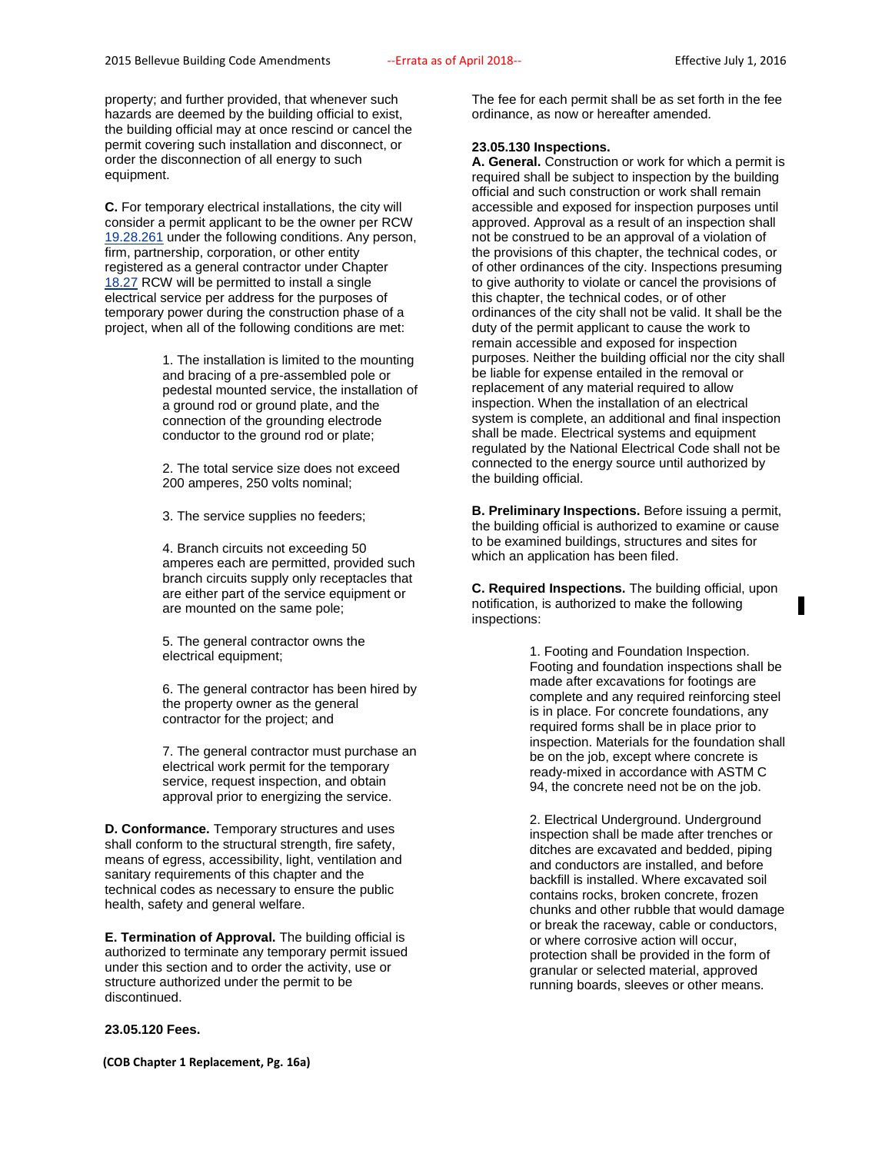property; and further provided, that whenever such hazards are deemed by the building official to exist, the building official may at once rescind or cancel the permit covering such installation and disconnect, or order the disconnection of all energy to such equipment.

**C.** For temporary electrical installations, the city will consider a permit applicant to be the owner per RCW [19.28.261](http://www.codepublishing.com/cgi-bin/rcw.pl?cite=19.28.261) under the following conditions. Any person, firm, partnership, corporation, or other entity registered as a general contractor under Chapter [18.27](http://www.codepublishing.com/cgi-bin/rcw.pl?cite=18.27) RCW will be permitted to install a single electrical service per address for the purposes of temporary power during the construction phase of a project, when all of the following conditions are met:

> 1. The installation is limited to the mounting and bracing of a pre-assembled pole or pedestal mounted service, the installation of a ground rod or ground plate, and the connection of the grounding electrode conductor to the ground rod or plate;

2. The total service size does not exceed 200 amperes, 250 volts nominal;

3. The service supplies no feeders;

4. Branch circuits not exceeding 50 amperes each are permitted, provided such branch circuits supply only receptacles that are either part of the service equipment or are mounted on the same pole;

5. The general contractor owns the electrical equipment;

6. The general contractor has been hired by the property owner as the general contractor for the project; and

7. The general contractor must purchase an electrical work permit for the temporary service, request inspection, and obtain approval prior to energizing the service.

**D. Conformance.** Temporary structures and uses shall conform to the structural strength, fire safety, means of egress, accessibility, light, ventilation and sanitary requirements of this chapter and the technical codes as necessary to ensure the public health, safety and general welfare.

**E. Termination of Approval.** The building official is authorized to terminate any temporary permit issued under this section and to order the activity, use or structure authorized under the permit to be discontinued.

#### **23.05.120 Fees.**

**(COB Chapter 1 Replacement, Pg. 16a)**

The fee for each permit shall be as set forth in the fee ordinance, as now or hereafter amended.

## **23.05.130 Inspections.**

**A. General.** Construction or work for which a permit is required shall be subject to inspection by the building official and such construction or work shall remain accessible and exposed for inspection purposes until approved. Approval as a result of an inspection shall not be construed to be an approval of a violation of the provisions of this chapter, the technical codes, or of other ordinances of the city. Inspections presuming to give authority to violate or cancel the provisions of this chapter, the technical codes, or of other ordinances of the city shall not be valid. It shall be the duty of the permit applicant to cause the work to remain accessible and exposed for inspection purposes. Neither the building official nor the city shall be liable for expense entailed in the removal or replacement of any material required to allow inspection. When the installation of an electrical system is complete, an additional and final inspection shall be made. Electrical systems and equipment regulated by the National Electrical Code shall not be connected to the energy source until authorized by the building official.

**B. Preliminary Inspections.** Before issuing a permit, the building official is authorized to examine or cause to be examined buildings, structures and sites for which an application has been filed.

**C. Required Inspections.** The building official, upon notification, is authorized to make the following inspections:

> 1. Footing and Foundation Inspection. Footing and foundation inspections shall be made after excavations for footings are complete and any required reinforcing steel is in place. For concrete foundations, any required forms shall be in place prior to inspection. Materials for the foundation shall be on the job, except where concrete is ready-mixed in accordance with ASTM C 94, the concrete need not be on the job.

2. Electrical Underground. Underground inspection shall be made after trenches or ditches are excavated and bedded, piping and conductors are installed, and before backfill is installed. Where excavated soil contains rocks, broken concrete, frozen chunks and other rubble that would damage or break the raceway, cable or conductors, or where corrosive action will occur, protection shall be provided in the form of granular or selected material, approved running boards, sleeves or other means.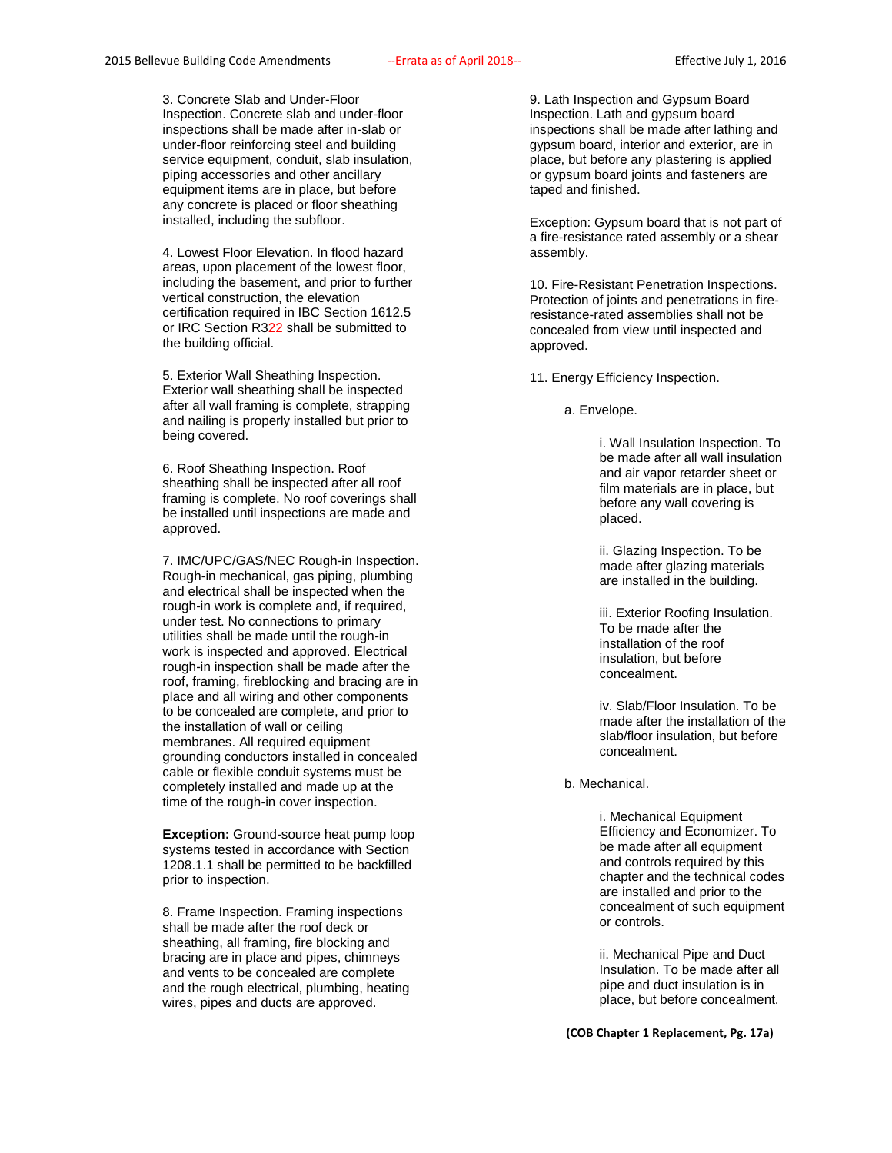3. Concrete Slab and Under-Floor Inspection. Concrete slab and under-floor inspections shall be made after in-slab or under-floor reinforcing steel and building service equipment, conduit, slab insulation, piping accessories and other ancillary equipment items are in place, but before any concrete is placed or floor sheathing installed, including the subfloor.

4. Lowest Floor Elevation. In flood hazard areas, upon placement of the lowest floor, including the basement, and prior to further vertical construction, the elevation certification required in IBC Section 1612.5 or IRC Section R322 shall be submitted to the building official.

5. Exterior Wall Sheathing Inspection. Exterior wall sheathing shall be inspected after all wall framing is complete, strapping and nailing is properly installed but prior to being covered.

6. Roof Sheathing Inspection. Roof sheathing shall be inspected after all roof framing is complete. No roof coverings shall be installed until inspections are made and approved.

7. IMC/UPC/GAS/NEC Rough-in Inspection. Rough-in mechanical, gas piping, plumbing and electrical shall be inspected when the rough-in work is complete and, if required, under test. No connections to primary utilities shall be made until the rough-in work is inspected and approved. Electrical rough-in inspection shall be made after the roof, framing, fireblocking and bracing are in place and all wiring and other components to be concealed are complete, and prior to the installation of wall or ceiling membranes. All required equipment grounding conductors installed in concealed cable or flexible conduit systems must be completely installed and made up at the time of the rough-in cover inspection.

**Exception:** Ground-source heat pump loop systems tested in accordance with Section 1208.1.1 shall be permitted to be backfilled prior to inspection.

8. Frame Inspection. Framing inspections shall be made after the roof deck or sheathing, all framing, fire blocking and bracing are in place and pipes, chimneys and vents to be concealed are complete and the rough electrical, plumbing, heating wires, pipes and ducts are approved.

9. Lath Inspection and Gypsum Board Inspection. Lath and gypsum board inspections shall be made after lathing and gypsum board, interior and exterior, are in place, but before any plastering is applied or gypsum board joints and fasteners are taped and finished.

Exception: Gypsum board that is not part of a fire-resistance rated assembly or a shear assembly.

10. Fire-Resistant Penetration Inspections. Protection of joints and penetrations in fireresistance-rated assemblies shall not be concealed from view until inspected and approved.

11. Energy Efficiency Inspection.

a. Envelope.

i. Wall Insulation Inspection. To be made after all wall insulation and air vapor retarder sheet or film materials are in place, but before any wall covering is placed.

ii. Glazing Inspection. To be made after glazing materials are installed in the building.

iii. Exterior Roofing Insulation. To be made after the installation of the roof insulation, but before concealment.

iv. Slab/Floor Insulation. To be made after the installation of the slab/floor insulation, but before concealment.

b. Mechanical.

i. Mechanical Equipment Efficiency and Economizer. To be made after all equipment and controls required by this chapter and the technical codes are installed and prior to the concealment of such equipment or controls.

ii. Mechanical Pipe and Duct Insulation. To be made after all pipe and duct insulation is in place, but before concealment.

**(COB Chapter 1 Replacement, Pg. 17a)**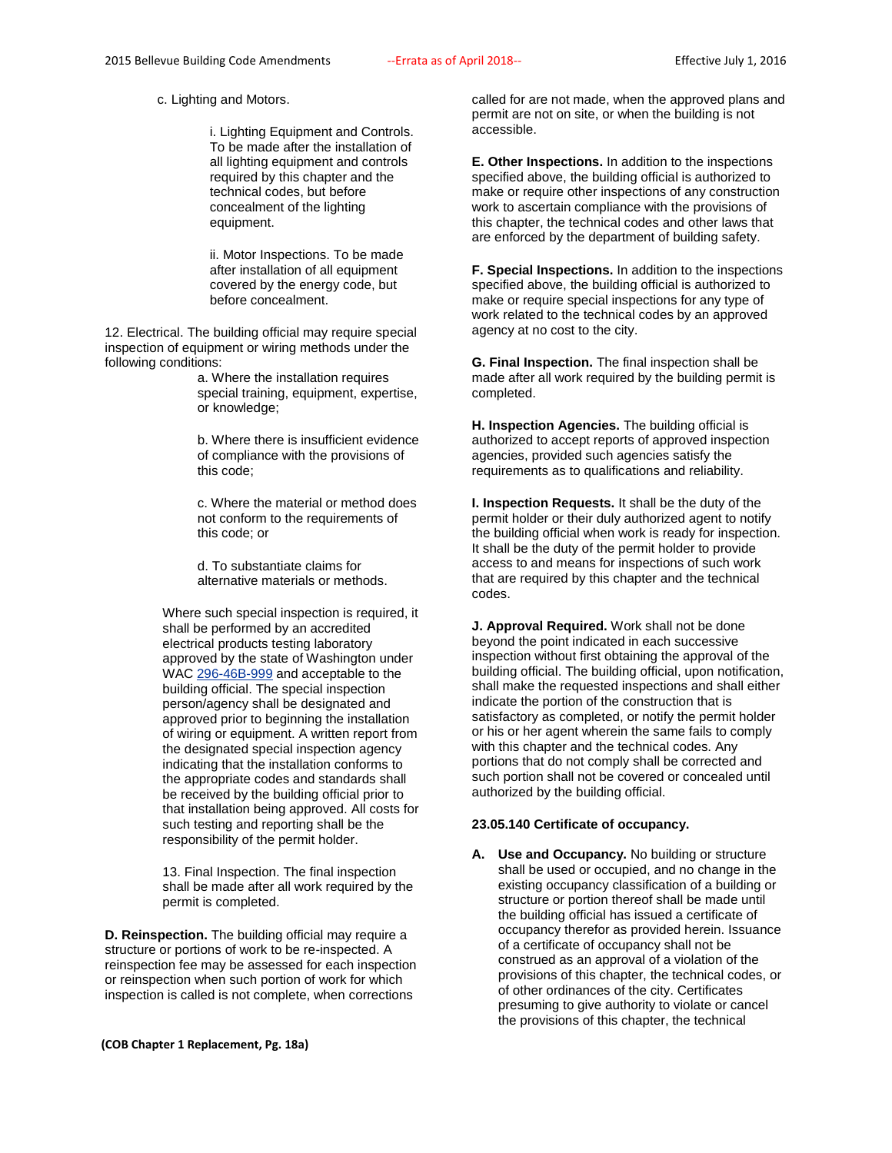c. Lighting and Motors.

i. Lighting Equipment and Controls. To be made after the installation of all lighting equipment and controls required by this chapter and the technical codes, but before concealment of the lighting equipment.

ii. Motor Inspections. To be made after installation of all equipment covered by the energy code, but before concealment.

12. Electrical. The building official may require special inspection of equipment or wiring methods under the following conditions:

> a. Where the installation requires special training, equipment, expertise, or knowledge;

> b. Where there is insufficient evidence of compliance with the provisions of this code;

> c. Where the material or method does not conform to the requirements of this code; or

d. To substantiate claims for alternative materials or methods.

Where such special inspection is required, it shall be performed by an accredited electrical products testing laboratory approved by the state of Washington under WAC [296-46B-999](http://www.codepublishing.com/cgi-bin/wac.pl?cite=296-46B-999) and acceptable to the building official. The special inspection person/agency shall be designated and approved prior to beginning the installation of wiring or equipment. A written report from the designated special inspection agency indicating that the installation conforms to the appropriate codes and standards shall be received by the building official prior to that installation being approved. All costs for such testing and reporting shall be the responsibility of the permit holder.

13. Final Inspection. The final inspection shall be made after all work required by the permit is completed.

**D. Reinspection.** The building official may require a structure or portions of work to be re-inspected. A reinspection fee may be assessed for each inspection or reinspection when such portion of work for which inspection is called is not complete, when corrections

**(COB Chapter 1 Replacement, Pg. 18a)**

called for are not made, when the approved plans and permit are not on site, or when the building is not accessible.

**E. Other Inspections.** In addition to the inspections specified above, the building official is authorized to make or require other inspections of any construction work to ascertain compliance with the provisions of this chapter, the technical codes and other laws that are enforced by the department of building safety.

**F. Special Inspections.** In addition to the inspections specified above, the building official is authorized to make or require special inspections for any type of work related to the technical codes by an approved agency at no cost to the city.

**G. Final Inspection.** The final inspection shall be made after all work required by the building permit is completed.

**H. Inspection Agencies.** The building official is authorized to accept reports of approved inspection agencies, provided such agencies satisfy the requirements as to qualifications and reliability.

**I. Inspection Requests.** It shall be the duty of the permit holder or their duly authorized agent to notify the building official when work is ready for inspection. It shall be the duty of the permit holder to provide access to and means for inspections of such work that are required by this chapter and the technical codes.

**J. Approval Required.** Work shall not be done beyond the point indicated in each successive inspection without first obtaining the approval of the building official. The building official, upon notification, shall make the requested inspections and shall either indicate the portion of the construction that is satisfactory as completed, or notify the permit holder or his or her agent wherein the same fails to comply with this chapter and the technical codes. Any portions that do not comply shall be corrected and such portion shall not be covered or concealed until authorized by the building official.

## **23.05.140 Certificate of occupancy.**

**A. Use and Occupancy.** No building or structure shall be used or occupied, and no change in the existing occupancy classification of a building or structure or portion thereof shall be made until the building official has issued a certificate of occupancy therefor as provided herein. Issuance of a certificate of occupancy shall not be construed as an approval of a violation of the provisions of this chapter, the technical codes, or of other ordinances of the city. Certificates presuming to give authority to violate or cancel the provisions of this chapter, the technical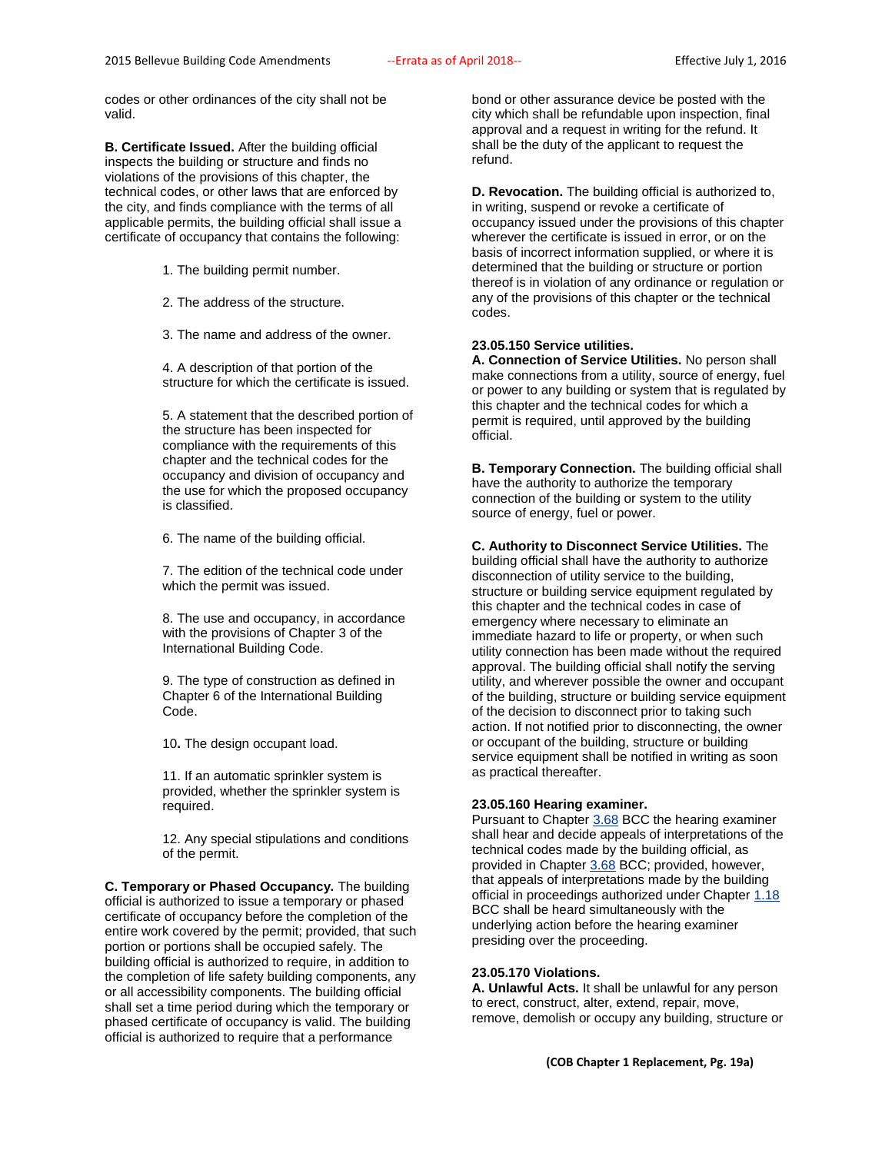codes or other ordinances of the city shall not be valid.

**B. Certificate Issued.** After the building official inspects the building or structure and finds no violations of the provisions of this chapter, the technical codes, or other laws that are enforced by the city, and finds compliance with the terms of all applicable permits, the building official shall issue a certificate of occupancy that contains the following:

1. The building permit number.

2. The address of the structure.

3. The name and address of the owner.

4. A description of that portion of the structure for which the certificate is issued.

5. A statement that the described portion of the structure has been inspected for compliance with the requirements of this chapter and the technical codes for the occupancy and division of occupancy and the use for which the proposed occupancy is classified.

6. The name of the building official.

7. The edition of the technical code under which the permit was issued.

8. The use and occupancy, in accordance with the provisions of Chapter 3 of the International Building Code.

9. The type of construction as defined in Chapter 6 of the International Building Code.

10**.** The design occupant load.

11. If an automatic sprinkler system is provided, whether the sprinkler system is required.

12. Any special stipulations and conditions of the permit.

**C. Temporary or Phased Occupancy.** The building official is authorized to issue a temporary or phased certificate of occupancy before the completion of the entire work covered by the permit; provided, that such portion or portions shall be occupied safely. The building official is authorized to require, in addition to the completion of life safety building components, any or all accessibility components. The building official shall set a time period during which the temporary or phased certificate of occupancy is valid. The building official is authorized to require that a performance

bond or other assurance device be posted with the city which shall be refundable upon inspection, final approval and a request in writing for the refund. It shall be the duty of the applicant to request the refund.

**D. Revocation.** The building official is authorized to, in writing, suspend or revoke a certificate of occupancy issued under the provisions of this chapter wherever the certificate is issued in error, or on the basis of incorrect information supplied, or where it is determined that the building or structure or portion thereof is in violation of any ordinance or regulation or any of the provisions of this chapter or the technical codes.

## **23.05.150 Service utilities.**

**A. Connection of Service Utilities.** No person shall make connections from a utility, source of energy, fuel or power to any building or system that is regulated by this chapter and the technical codes for which a permit is required, until approved by the building official.

**B. Temporary Connection.** The building official shall have the authority to authorize the temporary connection of the building or system to the utility source of energy, fuel or power.

**C. Authority to Disconnect Service Utilities.** The building official shall have the authority to authorize disconnection of utility service to the building, structure or building service equipment regulated by this chapter and the technical codes in case of emergency where necessary to eliminate an immediate hazard to life or property, or when such utility connection has been made without the required approval. The building official shall notify the serving utility, and wherever possible the owner and occupant of the building, structure or building service equipment of the decision to disconnect prior to taking such action. If not notified prior to disconnecting, the owner or occupant of the building, structure or building service equipment shall be notified in writing as soon as practical thereafter.

## **23.05.160 Hearing examiner.**

Pursuant to Chapter [3.68](http://www.codepublishing.com/wa/bellevue/html/Bellevue03/Bellevue0368.html#3.68) BCC the hearing examiner shall hear and decide appeals of interpretations of the technical codes made by the building official, as provided in Chapter [3.68](http://www.codepublishing.com/wa/bellevue/html/Bellevue03/Bellevue0368.html#3.68) BCC; provided, however, that appeals of interpretations made by the building official in proceedings authorized under Chapte[r 1.18](http://www.codepublishing.com/wa/bellevue/html/Bellevue01/Bellevue0118.html#1.18) BCC shall be heard simultaneously with the underlying action before the hearing examiner presiding over the proceeding.

## **23.05.170 Violations.**

**A. Unlawful Acts.** It shall be unlawful for any person to erect, construct, alter, extend, repair, move, remove, demolish or occupy any building, structure or